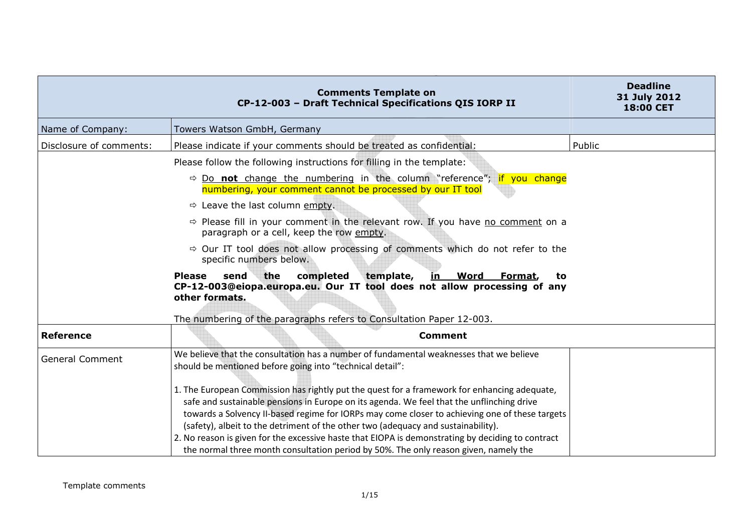|                         | <b>Comments Template on</b><br>CP-12-003 - Draft Technical Specifications QIS IORP II                                                                                                                                                                                                                                                                                                                                                                                                                                                                                         | <b>Deadline</b><br>31 July 2012<br>18:00 CET |
|-------------------------|-------------------------------------------------------------------------------------------------------------------------------------------------------------------------------------------------------------------------------------------------------------------------------------------------------------------------------------------------------------------------------------------------------------------------------------------------------------------------------------------------------------------------------------------------------------------------------|----------------------------------------------|
| Name of Company:        | Towers Watson GmbH, Germany                                                                                                                                                                                                                                                                                                                                                                                                                                                                                                                                                   |                                              |
| Disclosure of comments: | Please indicate if your comments should be treated as confidential:                                                                                                                                                                                                                                                                                                                                                                                                                                                                                                           | Public                                       |
|                         | Please follow the following instructions for filling in the template:                                                                                                                                                                                                                                                                                                                                                                                                                                                                                                         |                                              |
|                         | $\Rightarrow$ Do not change the numbering in the column "reference"; if you change<br>numbering, your comment cannot be processed by our IT tool                                                                                                                                                                                                                                                                                                                                                                                                                              |                                              |
|                         | $\Rightarrow$ Leave the last column empty.                                                                                                                                                                                                                                                                                                                                                                                                                                                                                                                                    |                                              |
|                         | $\Rightarrow$ Please fill in your comment in the relevant row. If you have no comment on a<br>paragraph or a cell, keep the row empty.                                                                                                                                                                                                                                                                                                                                                                                                                                        |                                              |
|                         | $\Rightarrow$ Our IT tool does not allow processing of comments which do not refer to the<br>specific numbers below.                                                                                                                                                                                                                                                                                                                                                                                                                                                          |                                              |
|                         | <b>Please</b><br>the<br>completed<br>template,<br>send<br>Word<br>Format,<br>in<br>to<br>CP-12-003@eiopa.europa.eu. Our IT tool does not allow processing of any<br>other formats.                                                                                                                                                                                                                                                                                                                                                                                            |                                              |
| <b>Reference</b>        | The numbering of the paragraphs refers to Consultation Paper 12-003.<br><b>Comment</b>                                                                                                                                                                                                                                                                                                                                                                                                                                                                                        |                                              |
|                         |                                                                                                                                                                                                                                                                                                                                                                                                                                                                                                                                                                               |                                              |
| <b>General Comment</b>  | We believe that the consultation has a number of fundamental weaknesses that we believe<br>should be mentioned before going into "technical detail":                                                                                                                                                                                                                                                                                                                                                                                                                          |                                              |
|                         | 1. The European Commission has rightly put the quest for a framework for enhancing adequate,<br>safe and sustainable pensions in Europe on its agenda. We feel that the unflinching drive<br>towards a Solvency II-based regime for IORPs may come closer to achieving one of these targets<br>(safety), albeit to the detriment of the other two (adequacy and sustainability).<br>2. No reason is given for the excessive haste that EIOPA is demonstrating by deciding to contract<br>the normal three month consultation period by 50%. The only reason given, namely the |                                              |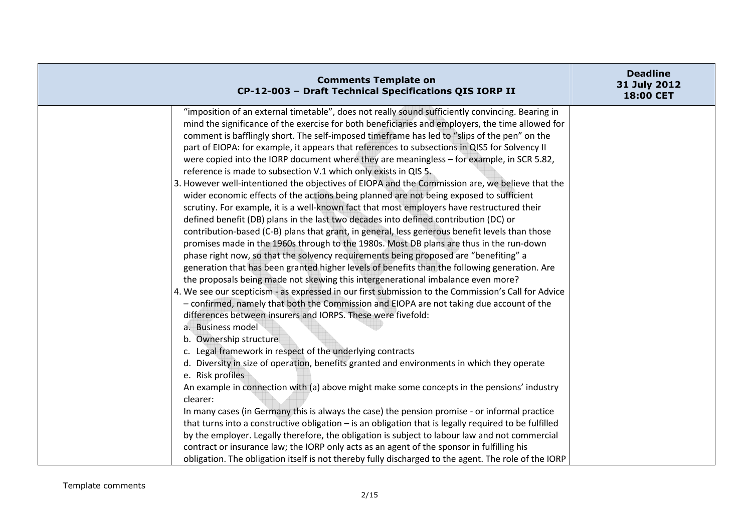| <b>Comments Template on</b><br>CP-12-003 - Draft Technical Specifications QIS IORP II                                                                                                                                                                                                                                                                                                                                                                                                                                                                                                                                                                                                                                                                                                                                                                                                                                                                                                                                                                                                                                                                                                                                                                                                                                                                                                                                                                                                                                                                                                                                                                                                                                                                                                                                                                                                                                                                                                                                                                                                                                                                                                                                                                                                                                                                                                                                                                                                                                                                            | <b>Deadline</b><br>31 July 2012<br>18:00 CET |
|------------------------------------------------------------------------------------------------------------------------------------------------------------------------------------------------------------------------------------------------------------------------------------------------------------------------------------------------------------------------------------------------------------------------------------------------------------------------------------------------------------------------------------------------------------------------------------------------------------------------------------------------------------------------------------------------------------------------------------------------------------------------------------------------------------------------------------------------------------------------------------------------------------------------------------------------------------------------------------------------------------------------------------------------------------------------------------------------------------------------------------------------------------------------------------------------------------------------------------------------------------------------------------------------------------------------------------------------------------------------------------------------------------------------------------------------------------------------------------------------------------------------------------------------------------------------------------------------------------------------------------------------------------------------------------------------------------------------------------------------------------------------------------------------------------------------------------------------------------------------------------------------------------------------------------------------------------------------------------------------------------------------------------------------------------------------------------------------------------------------------------------------------------------------------------------------------------------------------------------------------------------------------------------------------------------------------------------------------------------------------------------------------------------------------------------------------------------------------------------------------------------------------------------------------------------|----------------------------------------------|
| "imposition of an external timetable", does not really sound sufficiently convincing. Bearing in<br>mind the significance of the exercise for both beneficiaries and employers, the time allowed for<br>comment is bafflingly short. The self-imposed timeframe has led to "slips of the pen" on the<br>part of EIOPA: for example, it appears that references to subsections in QIS5 for Solvency II<br>were copied into the IORP document where they are meaningless - for example, in SCR 5.82,<br>reference is made to subsection V.1 which only exists in QIS 5.<br>3. However well-intentioned the objectives of EIOPA and the Commission are, we believe that the<br>wider economic effects of the actions being planned are not being exposed to sufficient<br>scrutiny. For example, it is a well-known fact that most employers have restructured their<br>defined benefit (DB) plans in the last two decades into defined contribution (DC) or<br>contribution-based (C-B) plans that grant, in general, less generous benefit levels than those<br>promises made in the 1960s through to the 1980s. Most DB plans are thus in the run-down<br>phase right now, so that the solvency requirements being proposed are "benefiting" a<br>generation that has been granted higher levels of benefits than the following generation. Are<br>the proposals being made not skewing this intergenerational imbalance even more?<br>4. We see our scepticism - as expressed in our first submission to the Commission's Call for Advice<br>- confirmed, namely that both the Commission and EIOPA are not taking due account of the<br>differences between insurers and IORPS. These were fivefold:<br>a. Business model<br>b. Ownership structure<br>c. Legal framework in respect of the underlying contracts<br>d. Diversity in size of operation, benefits granted and environments in which they operate<br>e. Risk profiles<br>An example in connection with (a) above might make some concepts in the pensions' industry<br>clearer:<br>In many cases (in Germany this is always the case) the pension promise - or informal practice<br>that turns into a constructive obligation - is an obligation that is legally required to be fulfilled<br>by the employer. Legally therefore, the obligation is subject to labour law and not commercial<br>contract or insurance law; the IORP only acts as an agent of the sponsor in fulfilling his<br>obligation. The obligation itself is not thereby fully discharged to the agent. The role of the IORP |                                              |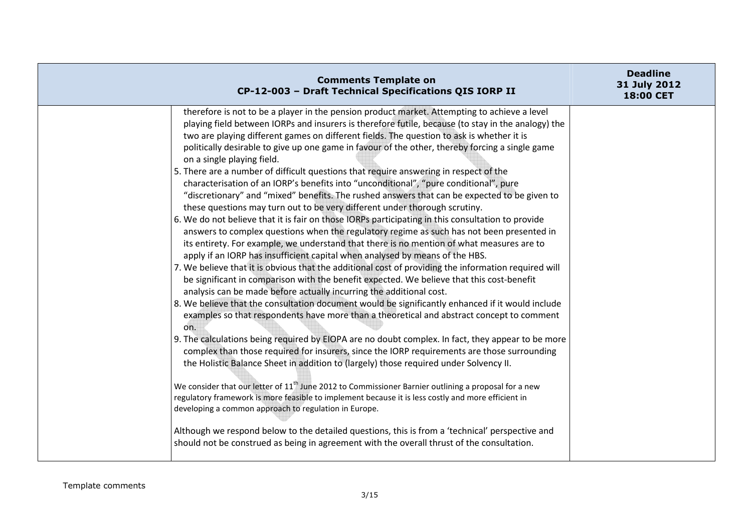| <b>Comments Template on</b><br>CP-12-003 - Draft Technical Specifications QIS IORP II                                                                                                                                                                                                                                                                                                                                                                                                                                                                                                                                                                                                                                                                                                                                                                                                                                                                                                                                                                                                                                                                                                                                                                                                                                                                                                                                                                                                                                                                                                                                                                                                                                                                                                                                                                                                                                                                                                                                                                                                                                                                                                                                                                                                                                                                                                                                                      | <b>Deadline</b><br>31 July 2012<br>18:00 CET |
|--------------------------------------------------------------------------------------------------------------------------------------------------------------------------------------------------------------------------------------------------------------------------------------------------------------------------------------------------------------------------------------------------------------------------------------------------------------------------------------------------------------------------------------------------------------------------------------------------------------------------------------------------------------------------------------------------------------------------------------------------------------------------------------------------------------------------------------------------------------------------------------------------------------------------------------------------------------------------------------------------------------------------------------------------------------------------------------------------------------------------------------------------------------------------------------------------------------------------------------------------------------------------------------------------------------------------------------------------------------------------------------------------------------------------------------------------------------------------------------------------------------------------------------------------------------------------------------------------------------------------------------------------------------------------------------------------------------------------------------------------------------------------------------------------------------------------------------------------------------------------------------------------------------------------------------------------------------------------------------------------------------------------------------------------------------------------------------------------------------------------------------------------------------------------------------------------------------------------------------------------------------------------------------------------------------------------------------------------------------------------------------------------------------------------------------------|----------------------------------------------|
| therefore is not to be a player in the pension product market. Attempting to achieve a level<br>playing field between IORPs and insurers is therefore futile, because (to stay in the analogy) the<br>two are playing different games on different fields. The question to ask is whether it is<br>politically desirable to give up one game in favour of the other, thereby forcing a single game<br>on a single playing field.<br>5. There are a number of difficult questions that require answering in respect of the<br>characterisation of an IORP's benefits into "unconditional", "pure conditional", pure<br>"discretionary" and "mixed" benefits. The rushed answers that can be expected to be given to<br>these questions may turn out to be very different under thorough scrutiny.<br>6. We do not believe that it is fair on those IORPs participating in this consultation to provide<br>answers to complex questions when the regulatory regime as such has not been presented in<br>its entirety. For example, we understand that there is no mention of what measures are to<br>apply if an IORP has insufficient capital when analysed by means of the HBS.<br>7. We believe that it is obvious that the additional cost of providing the information required will<br>be significant in comparison with the benefit expected. We believe that this cost-benefit<br>analysis can be made before actually incurring the additional cost.<br>8. We believe that the consultation document would be significantly enhanced if it would include<br>examples so that respondents have more than a theoretical and abstract concept to comment<br>on.<br>9. The calculations being required by EIOPA are no doubt complex. In fact, they appear to be more<br>complex than those required for insurers, since the IORP requirements are those surrounding<br>the Holistic Balance Sheet in addition to (largely) those required under Solvency II.<br>We consider that our letter of $11th$ June 2012 to Commissioner Barnier outlining a proposal for a new<br>regulatory framework is more feasible to implement because it is less costly and more efficient in<br>developing a common approach to regulation in Europe.<br>Although we respond below to the detailed questions, this is from a 'technical' perspective and<br>should not be construed as being in agreement with the overall thrust of the consultation. |                                              |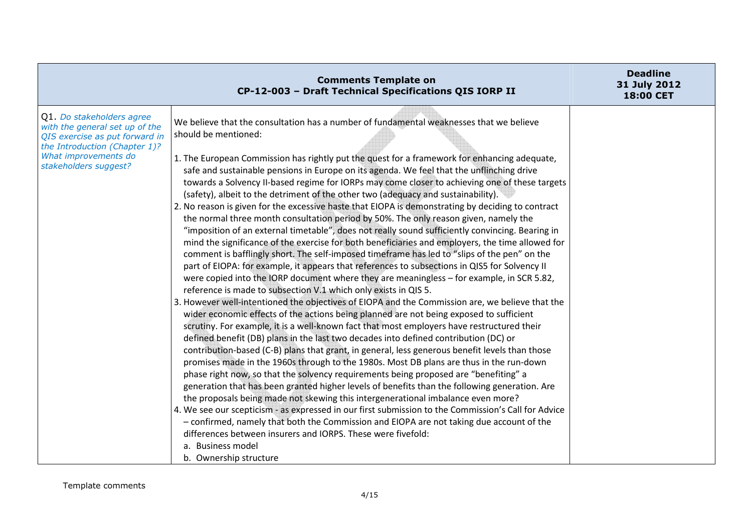|                                                                                                                                                                                 | <b>Comments Template on</b><br>CP-12-003 - Draft Technical Specifications QIS IORP II                                                                                                                                                                                                                                                                                                                                                                                                                                                                                                                                                                                                                                                                                                                                                                                                                                                                                                                                                                                                                                                                                                                                                                                                                                                                                                                                                                                                                                                                                                                                                                                                                                                                                                                                                                                                                                                                                                                                                                                                                                                                                                                                                                                                                                                                                                                                                                     | <b>Deadline</b><br>31 July 2012<br>18:00 CET |
|---------------------------------------------------------------------------------------------------------------------------------------------------------------------------------|-----------------------------------------------------------------------------------------------------------------------------------------------------------------------------------------------------------------------------------------------------------------------------------------------------------------------------------------------------------------------------------------------------------------------------------------------------------------------------------------------------------------------------------------------------------------------------------------------------------------------------------------------------------------------------------------------------------------------------------------------------------------------------------------------------------------------------------------------------------------------------------------------------------------------------------------------------------------------------------------------------------------------------------------------------------------------------------------------------------------------------------------------------------------------------------------------------------------------------------------------------------------------------------------------------------------------------------------------------------------------------------------------------------------------------------------------------------------------------------------------------------------------------------------------------------------------------------------------------------------------------------------------------------------------------------------------------------------------------------------------------------------------------------------------------------------------------------------------------------------------------------------------------------------------------------------------------------------------------------------------------------------------------------------------------------------------------------------------------------------------------------------------------------------------------------------------------------------------------------------------------------------------------------------------------------------------------------------------------------------------------------------------------------------------------------------------------------|----------------------------------------------|
| Q1. Do stakeholders agree<br>with the general set up of the<br>QIS exercise as put forward in<br>the Introduction (Chapter 1)?<br>What improvements do<br>stakeholders suggest? | We believe that the consultation has a number of fundamental weaknesses that we believe<br>should be mentioned:<br>1. The European Commission has rightly put the quest for a framework for enhancing adequate,<br>safe and sustainable pensions in Europe on its agenda. We feel that the unflinching drive<br>towards a Solvency II-based regime for IORPs may come closer to achieving one of these targets<br>(safety), albeit to the detriment of the other two (adequacy and sustainability).<br>2. No reason is given for the excessive haste that EIOPA is demonstrating by deciding to contract<br>the normal three month consultation period by 50%. The only reason given, namely the<br>"imposition of an external timetable", does not really sound sufficiently convincing. Bearing in<br>mind the significance of the exercise for both beneficiaries and employers, the time allowed for<br>comment is bafflingly short. The self-imposed timeframe has led to "slips of the pen" on the<br>part of EIOPA: for example, it appears that references to subsections in QIS5 for Solvency II<br>were copied into the IORP document where they are meaningless - for example, in SCR 5.82,<br>reference is made to subsection V.1 which only exists in QIS 5.<br>3. However well-intentioned the objectives of EIOPA and the Commission are, we believe that the<br>wider economic effects of the actions being planned are not being exposed to sufficient<br>scrutiny. For example, it is a well-known fact that most employers have restructured their<br>defined benefit (DB) plans in the last two decades into defined contribution (DC) or<br>contribution-based (C-B) plans that grant, in general, less generous benefit levels than those<br>promises made in the 1960s through to the 1980s. Most DB plans are thus in the run-down<br>phase right now, so that the solvency requirements being proposed are "benefiting" a<br>generation that has been granted higher levels of benefits than the following generation. Are<br>the proposals being made not skewing this intergenerational imbalance even more?<br>4. We see our scepticism - as expressed in our first submission to the Commission's Call for Advice<br>- confirmed, namely that both the Commission and EIOPA are not taking due account of the<br>differences between insurers and IORPS. These were fivefold:<br>a. Business model<br>b. Ownership structure |                                              |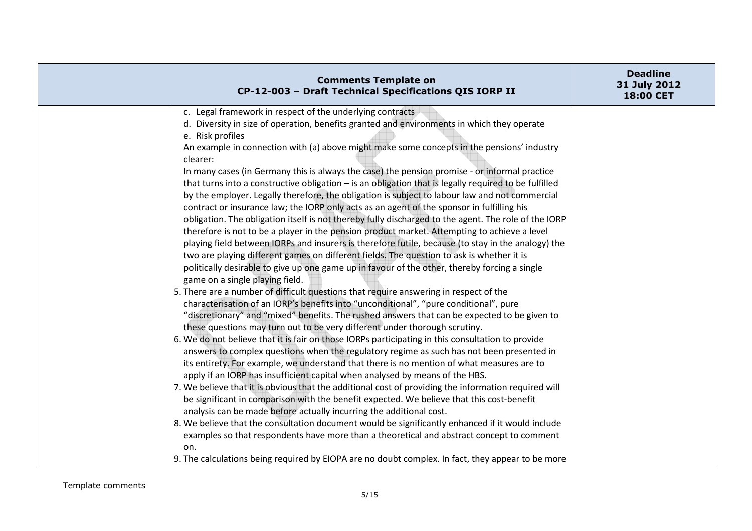| 18:00 CET                                                                                                                                                                                                                                                                                                                                                                                                                                                                                                                                                                                                                                                                                                                                                                                                                                                                                                                                                                                                                                                                                                                                                                                                                                                                                                                                                                                                                                                                                                                                                                                                                                                                                                                                                                                                                                                                                                                                                                                                                                                                                                                                                                                                                                                                                                                                                                                                                                                                                                                                                                              | <b>Comments Template on</b><br>CP-12-003 - Draft Technical Specifications QIS IORP II | <b>Deadline</b><br>31 July 2012 |
|----------------------------------------------------------------------------------------------------------------------------------------------------------------------------------------------------------------------------------------------------------------------------------------------------------------------------------------------------------------------------------------------------------------------------------------------------------------------------------------------------------------------------------------------------------------------------------------------------------------------------------------------------------------------------------------------------------------------------------------------------------------------------------------------------------------------------------------------------------------------------------------------------------------------------------------------------------------------------------------------------------------------------------------------------------------------------------------------------------------------------------------------------------------------------------------------------------------------------------------------------------------------------------------------------------------------------------------------------------------------------------------------------------------------------------------------------------------------------------------------------------------------------------------------------------------------------------------------------------------------------------------------------------------------------------------------------------------------------------------------------------------------------------------------------------------------------------------------------------------------------------------------------------------------------------------------------------------------------------------------------------------------------------------------------------------------------------------------------------------------------------------------------------------------------------------------------------------------------------------------------------------------------------------------------------------------------------------------------------------------------------------------------------------------------------------------------------------------------------------------------------------------------------------------------------------------------------------|---------------------------------------------------------------------------------------|---------------------------------|
| c. Legal framework in respect of the underlying contracts<br>d. Diversity in size of operation, benefits granted and environments in which they operate<br>e. Risk profiles<br>An example in connection with (a) above might make some concepts in the pensions' industry<br>clearer:<br>In many cases (in Germany this is always the case) the pension promise - or informal practice<br>that turns into a constructive obligation - is an obligation that is legally required to be fulfilled<br>by the employer. Legally therefore, the obligation is subject to labour law and not commercial<br>contract or insurance law; the IORP only acts as an agent of the sponsor in fulfilling his<br>obligation. The obligation itself is not thereby fully discharged to the agent. The role of the IORP<br>therefore is not to be a player in the pension product market. Attempting to achieve a level<br>playing field between IORPs and insurers is therefore futile, because (to stay in the analogy) the<br>two are playing different games on different fields. The question to ask is whether it is<br>politically desirable to give up one game up in favour of the other, thereby forcing a single<br>game on a single playing field.<br>5. There are a number of difficult questions that require answering in respect of the<br>characterisation of an IORP's benefits into "unconditional", "pure conditional", pure<br>"discretionary" and "mixed" benefits. The rushed answers that can be expected to be given to<br>these questions may turn out to be very different under thorough scrutiny.<br>6. We do not believe that it is fair on those IORPs participating in this consultation to provide<br>answers to complex questions when the regulatory regime as such has not been presented in<br>its entirety. For example, we understand that there is no mention of what measures are to<br>apply if an IORP has insufficient capital when analysed by means of the HBS.<br>7. We believe that it is obvious that the additional cost of providing the information required will<br>be significant in comparison with the benefit expected. We believe that this cost-benefit<br>analysis can be made before actually incurring the additional cost.<br>8. We believe that the consultation document would be significantly enhanced if it would include<br>examples so that respondents have more than a theoretical and abstract concept to comment<br>on.<br>9. The calculations being required by EIOPA are no doubt complex. In fact, they appear to be more |                                                                                       |                                 |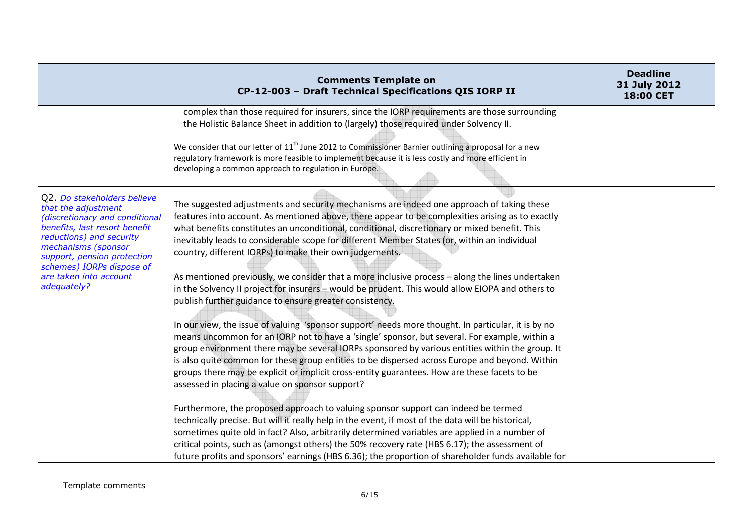|                                                                                                                                                                                                                                                                               | <b>Comments Template on</b><br>CP-12-003 - Draft Technical Specifications QIS IORP II                                                                                                                                                                                                                                                                                                                                                                                                                                                                       | <b>Deadline</b><br>31 July 2012<br>18:00 CET |
|-------------------------------------------------------------------------------------------------------------------------------------------------------------------------------------------------------------------------------------------------------------------------------|-------------------------------------------------------------------------------------------------------------------------------------------------------------------------------------------------------------------------------------------------------------------------------------------------------------------------------------------------------------------------------------------------------------------------------------------------------------------------------------------------------------------------------------------------------------|----------------------------------------------|
|                                                                                                                                                                                                                                                                               | complex than those required for insurers, since the IORP requirements are those surrounding<br>the Holistic Balance Sheet in addition to (largely) those required under Solvency II.                                                                                                                                                                                                                                                                                                                                                                        |                                              |
|                                                                                                                                                                                                                                                                               | We consider that our letter of $11th$ June 2012 to Commissioner Barnier outlining a proposal for a new<br>regulatory framework is more feasible to implement because it is less costly and more efficient in<br>developing a common approach to regulation in Europe.                                                                                                                                                                                                                                                                                       |                                              |
| Q2. Do stakeholders believe<br>that the adjustment<br>(discretionary and conditional<br>benefits, last resort benefit<br>reductions) and security<br>mechanisms (sponsor<br>support, pension protection<br>schemes) IORPs dispose of<br>are taken into account<br>adequately? | The suggested adjustments and security mechanisms are indeed one approach of taking these<br>features into account. As mentioned above, there appear to be complexities arising as to exactly<br>what benefits constitutes an unconditional, conditional, discretionary or mixed benefit. This<br>inevitably leads to considerable scope for different Member States (or, within an individual<br>country, different IORPs) to make their own judgements.                                                                                                   |                                              |
|                                                                                                                                                                                                                                                                               | As mentioned previously, we consider that a more inclusive process - along the lines undertaken<br>in the Solvency II project for insurers - would be prudent. This would allow EIOPA and others to<br>publish further guidance to ensure greater consistency.                                                                                                                                                                                                                                                                                              |                                              |
|                                                                                                                                                                                                                                                                               | In our view, the issue of valuing 'sponsor support' needs more thought. In particular, it is by no<br>means uncommon for an IORP not to have a 'single' sponsor, but several. For example, within a<br>group environment there may be several IORPs sponsored by various entities within the group. It<br>is also quite common for these group entities to be dispersed across Europe and beyond. Within<br>groups there may be explicit or implicit cross-entity guarantees. How are these facets to be<br>assessed in placing a value on sponsor support? |                                              |
|                                                                                                                                                                                                                                                                               | Furthermore, the proposed approach to valuing sponsor support can indeed be termed<br>technically precise. But will it really help in the event, if most of the data will be historical,<br>sometimes quite old in fact? Also, arbitrarily determined variables are applied in a number of<br>critical points, such as (amongst others) the 50% recovery rate (HBS 6.17); the assessment of<br>future profits and sponsors' earnings (HBS 6.36); the proportion of shareholder funds available for                                                          |                                              |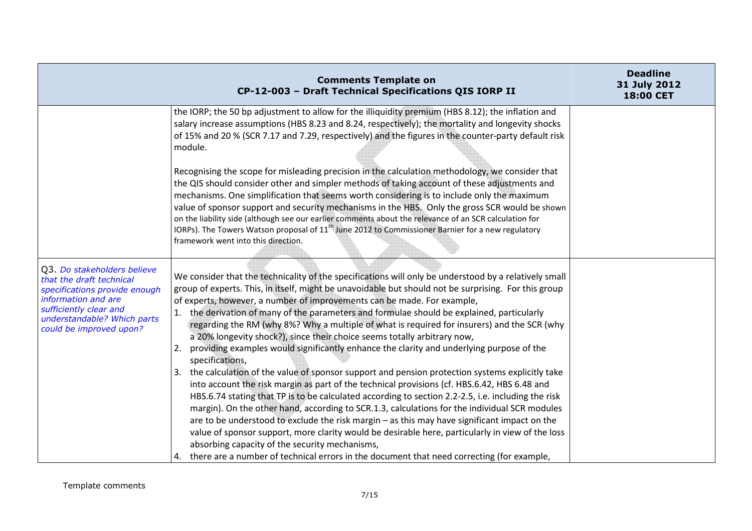|                                                                                                                                                                                                     | <b>Comments Template on</b><br>CP-12-003 - Draft Technical Specifications QIS IORP II                                                                                                                                                                                                                                                                                                                                                                                                                                                                                                                                                                                                                                                                                                                                                                                                                                                                                                                                                                                                                                                                                                                                                                                                                                                                                                                                                                 | <b>Deadline</b><br>31 July 2012<br>18:00 CET |
|-----------------------------------------------------------------------------------------------------------------------------------------------------------------------------------------------------|-------------------------------------------------------------------------------------------------------------------------------------------------------------------------------------------------------------------------------------------------------------------------------------------------------------------------------------------------------------------------------------------------------------------------------------------------------------------------------------------------------------------------------------------------------------------------------------------------------------------------------------------------------------------------------------------------------------------------------------------------------------------------------------------------------------------------------------------------------------------------------------------------------------------------------------------------------------------------------------------------------------------------------------------------------------------------------------------------------------------------------------------------------------------------------------------------------------------------------------------------------------------------------------------------------------------------------------------------------------------------------------------------------------------------------------------------------|----------------------------------------------|
|                                                                                                                                                                                                     | the IORP; the 50 bp adjustment to allow for the illiquidity premium (HBS 8.12); the inflation and<br>salary increase assumptions (HBS 8.23 and 8.24, respectively); the mortality and longevity shocks<br>of 15% and 20 % (SCR 7.17 and 7.29, respectively) and the figures in the counter-party default risk<br>module.<br>Recognising the scope for misleading precision in the calculation methodology, we consider that                                                                                                                                                                                                                                                                                                                                                                                                                                                                                                                                                                                                                                                                                                                                                                                                                                                                                                                                                                                                                           |                                              |
|                                                                                                                                                                                                     | the QIS should consider other and simpler methods of taking account of these adjustments and<br>mechanisms. One simplification that seems worth considering is to include only the maximum<br>value of sponsor support and security mechanisms in the HBS. Only the gross SCR would be shown<br>on the liability side (although see our earlier comments about the relevance of an SCR calculation for<br>IORPs). The Towers Watson proposal of 11 <sup>th</sup> June 2012 to Commissioner Barnier for a new regulatory<br>framework went into this direction.                                                                                                                                                                                                                                                                                                                                                                                                                                                                                                                                                                                                                                                                                                                                                                                                                                                                                        |                                              |
| Q3. Do stakeholders believe<br>that the draft technical<br>specifications provide enough<br>information and are<br>sufficiently clear and<br>understandable? Which parts<br>could be improved upon? | We consider that the technicality of the specifications will only be understood by a relatively small<br>group of experts. This, in itself, might be unavoidable but should not be surprising. For this group<br>of experts, however, a number of improvements can be made. For example,<br>the derivation of many of the parameters and formulae should be explained, particularly<br>regarding the RM (why 8%? Why a multiple of what is required for insurers) and the SCR (why<br>a 20% longevity shock?), since their choice seems totally arbitrary now,<br>providing examples would significantly enhance the clarity and underlying purpose of the<br>2.<br>specifications,<br>3. the calculation of the value of sponsor support and pension protection systems explicitly take<br>into account the risk margin as part of the technical provisions (cf. HBS.6.42, HBS 6.48 and<br>HBS.6.74 stating that TP is to be calculated according to section 2.2-2.5, i.e. including the risk<br>margin). On the other hand, according to SCR.1.3, calculations for the individual SCR modules<br>are to be understood to exclude the risk margin - as this may have significant impact on the<br>value of sponsor support, more clarity would be desirable here, particularly in view of the loss<br>absorbing capacity of the security mechanisms,<br>4. there are a number of technical errors in the document that need correcting (for example, |                                              |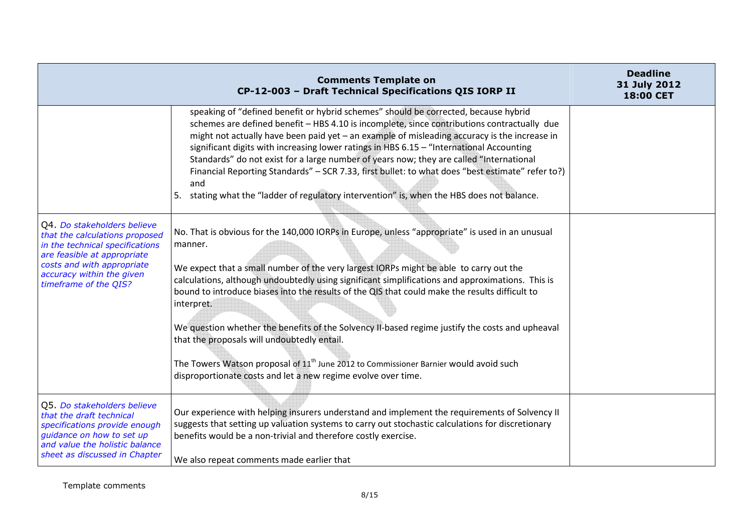|                                                                                                                                                                                                                     | <b>Comments Template on</b><br>CP-12-003 - Draft Technical Specifications QIS IORP II                                                                                                                                                                                                                                                                                                                                                                                                                                                                                                                                                                                                                                                  | <b>Deadline</b><br>31 July 2012<br>18:00 CET |
|---------------------------------------------------------------------------------------------------------------------------------------------------------------------------------------------------------------------|----------------------------------------------------------------------------------------------------------------------------------------------------------------------------------------------------------------------------------------------------------------------------------------------------------------------------------------------------------------------------------------------------------------------------------------------------------------------------------------------------------------------------------------------------------------------------------------------------------------------------------------------------------------------------------------------------------------------------------------|----------------------------------------------|
|                                                                                                                                                                                                                     | speaking of "defined benefit or hybrid schemes" should be corrected, because hybrid<br>schemes are defined benefit - HBS 4.10 is incomplete, since contributions contractually due<br>might not actually have been paid yet - an example of misleading accuracy is the increase in<br>significant digits with increasing lower ratings in HBS 6.15 - "International Accounting<br>Standards" do not exist for a large number of years now; they are called "International<br>Financial Reporting Standards" - SCR 7.33, first bullet: to what does "best estimate" refer to?)<br>and<br>5. stating what the "ladder of regulatory intervention" is, when the HBS does not balance.                                                     |                                              |
| Q4. Do stakeholders believe<br>that the calculations proposed<br>in the technical specifications<br>are feasible at appropriate<br>costs and with appropriate<br>accuracy within the given<br>timeframe of the QIS? | No. That is obvious for the 140,000 IORPs in Europe, unless "appropriate" is used in an unusual<br>manner.<br>We expect that a small number of the very largest IORPs might be able to carry out the<br>calculations, although undoubtedly using significant simplifications and approximations. This is<br>bound to introduce biases into the results of the QIS that could make the results difficult to<br>interpret.<br>We question whether the benefits of the Solvency II-based regime justify the costs and upheaval<br>that the proposals will undoubtedly entail.<br>The Towers Watson proposal of $11th$ June 2012 to Commissioner Barnier would avoid such<br>disproportionate costs and let a new regime evolve over time. |                                              |
| Q5. Do stakeholders believe<br>that the draft technical<br>specifications provide enough<br>guidance on how to set up<br>and value the holistic balance<br>sheet as discussed in Chapter                            | Our experience with helping insurers understand and implement the requirements of Solvency II<br>suggests that setting up valuation systems to carry out stochastic calculations for discretionary<br>benefits would be a non-trivial and therefore costly exercise.<br>We also repeat comments made earlier that                                                                                                                                                                                                                                                                                                                                                                                                                      |                                              |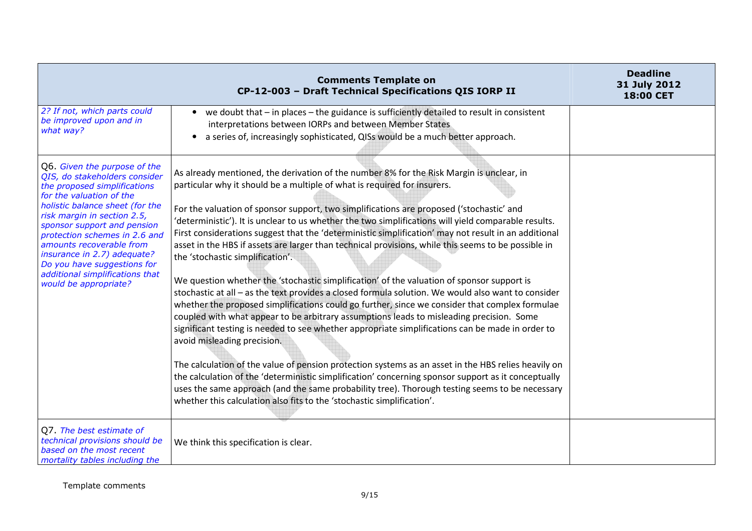|                                                                                                                                                                                                                                                                                                                                                                                                                   | <b>Comments Template on</b><br>CP-12-003 - Draft Technical Specifications QIS IORP II                                                                                                                                                                                                                                                                                                                                                                                                                                                                                                                                                                                                                                                                                                                                                                                                                                                                                                                                                                                                                                                                                                                                                                                                                                                                                                                                                                                                                                                                      | <b>Deadline</b><br>31 July 2012<br>18:00 CET |
|-------------------------------------------------------------------------------------------------------------------------------------------------------------------------------------------------------------------------------------------------------------------------------------------------------------------------------------------------------------------------------------------------------------------|------------------------------------------------------------------------------------------------------------------------------------------------------------------------------------------------------------------------------------------------------------------------------------------------------------------------------------------------------------------------------------------------------------------------------------------------------------------------------------------------------------------------------------------------------------------------------------------------------------------------------------------------------------------------------------------------------------------------------------------------------------------------------------------------------------------------------------------------------------------------------------------------------------------------------------------------------------------------------------------------------------------------------------------------------------------------------------------------------------------------------------------------------------------------------------------------------------------------------------------------------------------------------------------------------------------------------------------------------------------------------------------------------------------------------------------------------------------------------------------------------------------------------------------------------------|----------------------------------------------|
| 2? If not, which parts could<br>be improved upon and in<br>what way?                                                                                                                                                                                                                                                                                                                                              | • we doubt that – in places – the guidance is sufficiently detailed to result in consistent<br>interpretations between IORPs and between Member States<br>a series of, increasingly sophisticated, QISs would be a much better approach.                                                                                                                                                                                                                                                                                                                                                                                                                                                                                                                                                                                                                                                                                                                                                                                                                                                                                                                                                                                                                                                                                                                                                                                                                                                                                                                   |                                              |
| Q6. Given the purpose of the<br>QIS, do stakeholders consider<br>the proposed simplifications<br>for the valuation of the<br>holistic balance sheet (for the<br>risk margin in section 2.5,<br>sponsor support and pension<br>protection schemes in 2.6 and<br>amounts recoverable from<br>insurance in 2.7) adequate?<br>Do you have suggestions for<br>additional simplifications that<br>would be appropriate? | As already mentioned, the derivation of the number 8% for the Risk Margin is unclear, in<br>particular why it should be a multiple of what is required for insurers.<br>For the valuation of sponsor support, two simplifications are proposed ('stochastic' and<br>'deterministic'). It is unclear to us whether the two simplifications will yield comparable results.<br>First considerations suggest that the 'deterministic simplification' may not result in an additional<br>asset in the HBS if assets are larger than technical provisions, while this seems to be possible in<br>the 'stochastic simplification'.<br>We question whether the 'stochastic simplification' of the valuation of sponsor support is<br>stochastic at all - as the text provides a closed formula solution. We would also want to consider<br>whether the proposed simplifications could go further, since we consider that complex formulae<br>coupled with what appear to be arbitrary assumptions leads to misleading precision. Some<br>significant testing is needed to see whether appropriate simplifications can be made in order to<br>avoid misleading precision.<br>The calculation of the value of pension protection systems as an asset in the HBS relies heavily on<br>the calculation of the 'deterministic simplification' concerning sponsor support as it conceptually<br>uses the same approach (and the same probability tree). Thorough testing seems to be necessary<br>whether this calculation also fits to the 'stochastic simplification'. |                                              |
| Q7. The best estimate of<br>technical provisions should be<br>based on the most recent<br>mortality tables including the                                                                                                                                                                                                                                                                                          | We think this specification is clear.                                                                                                                                                                                                                                                                                                                                                                                                                                                                                                                                                                                                                                                                                                                                                                                                                                                                                                                                                                                                                                                                                                                                                                                                                                                                                                                                                                                                                                                                                                                      |                                              |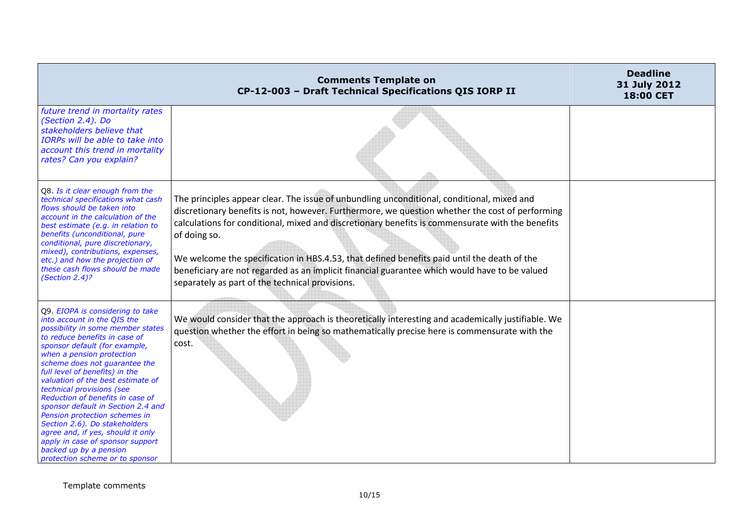|                                                                                                                                                                                                                                                                                                                                                                                                                                                                                                                                                                                                                            | <b>Comments Template on</b><br>CP-12-003 - Draft Technical Specifications QIS IORP II                                                                                                                                                                                                                                                                                                                                                                                                                                                                                | <b>Deadline</b><br>31 July 2012<br>18:00 CET |
|----------------------------------------------------------------------------------------------------------------------------------------------------------------------------------------------------------------------------------------------------------------------------------------------------------------------------------------------------------------------------------------------------------------------------------------------------------------------------------------------------------------------------------------------------------------------------------------------------------------------------|----------------------------------------------------------------------------------------------------------------------------------------------------------------------------------------------------------------------------------------------------------------------------------------------------------------------------------------------------------------------------------------------------------------------------------------------------------------------------------------------------------------------------------------------------------------------|----------------------------------------------|
| future trend in mortality rates<br>(Section 2.4). Do<br>stakeholders believe that<br>IORPs will be able to take into<br>account this trend in mortality<br>rates? Can you explain?                                                                                                                                                                                                                                                                                                                                                                                                                                         |                                                                                                                                                                                                                                                                                                                                                                                                                                                                                                                                                                      |                                              |
| Q8. Is it clear enough from the<br>technical specifications what cash<br>flows should be taken into<br>account in the calculation of the<br>best estimate (e.g. in relation to<br>benefits (unconditional, pure<br>conditional, pure discretionary,<br>mixed), contributions, expenses,<br>etc.) and how the projection of<br>these cash flows should be made<br>(Section 2.4)?                                                                                                                                                                                                                                            | The principles appear clear. The issue of unbundling unconditional, conditional, mixed and<br>discretionary benefits is not, however. Furthermore, we question whether the cost of performing<br>calculations for conditional, mixed and discretionary benefits is commensurate with the benefits<br>of doing so.<br>We welcome the specification in HBS.4.53, that defined benefits paid until the death of the<br>beneficiary are not regarded as an implicit financial guarantee which would have to be valued<br>separately as part of the technical provisions. |                                              |
| Q9. EIOPA is considering to take<br>into account in the QIS the<br>possibility in some member states<br>to reduce benefits in case of<br>sponsor default (for example,<br>when a pension protection<br>scheme does not guarantee the<br>full level of benefits) in the<br>valuation of the best estimate of<br>technical provisions (see<br>Reduction of benefits in case of<br>sponsor default in Section 2.4 and<br>Pension protection schemes in<br>Section 2.6). Do stakeholders<br>agree and, if yes, should it only<br>apply in case of sponsor support<br>backed up by a pension<br>protection scheme or to sponsor | We would consider that the approach is theoretically interesting and academically justifiable. We<br>question whether the effort in being so mathematically precise here is commensurate with the<br>cost.                                                                                                                                                                                                                                                                                                                                                           |                                              |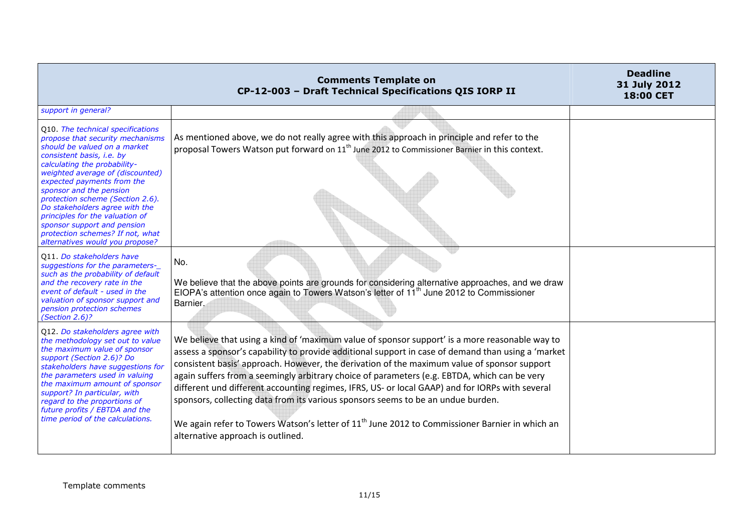|                                                                                                                                                                                                                                                                                                                                                                                                                                                                                | <b>Comments Template on</b><br>CP-12-003 - Draft Technical Specifications QIS IORP II                                                                                                                                                                                                                                                                                                                                                                                                                                                                                                                                                                                                                                                         | <b>Deadline</b><br>31 July 2012<br><b>18:00 CET</b> |
|--------------------------------------------------------------------------------------------------------------------------------------------------------------------------------------------------------------------------------------------------------------------------------------------------------------------------------------------------------------------------------------------------------------------------------------------------------------------------------|-----------------------------------------------------------------------------------------------------------------------------------------------------------------------------------------------------------------------------------------------------------------------------------------------------------------------------------------------------------------------------------------------------------------------------------------------------------------------------------------------------------------------------------------------------------------------------------------------------------------------------------------------------------------------------------------------------------------------------------------------|-----------------------------------------------------|
| support in general?                                                                                                                                                                                                                                                                                                                                                                                                                                                            |                                                                                                                                                                                                                                                                                                                                                                                                                                                                                                                                                                                                                                                                                                                                               |                                                     |
| Q10. The technical specifications<br>propose that security mechanisms<br>should be valued on a market<br>consistent basis, i.e. by<br>calculating the probability-<br>weighted average of (discounted)<br>expected payments from the<br>sponsor and the pension<br>protection scheme (Section 2.6).<br>Do stakeholders agree with the<br>principles for the valuation of<br>sponsor support and pension<br>protection schemes? If not, what<br>alternatives would you propose? | As mentioned above, we do not really agree with this approach in principle and refer to the<br>proposal Towers Watson put forward on 11 <sup>th</sup> June 2012 to Commissioner Barnier in this context.                                                                                                                                                                                                                                                                                                                                                                                                                                                                                                                                      |                                                     |
| 011 Do stakeholders have<br>suggestions for the parameters-<br>such as the probability of default<br>and the recovery rate in the<br>event of default - used in the<br>valuation of sponsor support and<br>pension protection schemes<br>(Section 2.6)?                                                                                                                                                                                                                        | No.<br>We believe that the above points are grounds for considering alternative approaches, and we draw<br>EIOPA's attention once again to Towers Watson's letter of 11 <sup>th</sup> June 2012 to Commissioner<br>Barnier.                                                                                                                                                                                                                                                                                                                                                                                                                                                                                                                   |                                                     |
| Q12. Do stakeholders agree with<br>the methodology set out to value<br>the maximum value of sponsor<br>support (Section 2.6)? Do<br>stakeholders have suggestions for<br>the parameters used in valuing<br>the maximum amount of sponsor<br>support? In particular, with<br>regard to the proportions of<br>future profits / EBTDA and the<br>time period of the calculations.                                                                                                 | We believe that using a kind of 'maximum value of sponsor support' is a more reasonable way to<br>assess a sponsor's capability to provide additional support in case of demand than using a 'market<br>consistent basis' approach. However, the derivation of the maximum value of sponsor support<br>again suffers from a seemingly arbitrary choice of parameters (e.g. EBTDA, which can be very<br>different und different accounting regimes, IFRS, US- or local GAAP) and for IORPs with several<br>sponsors, collecting data from its various sponsors seems to be an undue burden.<br>We again refer to Towers Watson's letter of 11 <sup>th</sup> June 2012 to Commissioner Barnier in which an<br>alternative approach is outlined. |                                                     |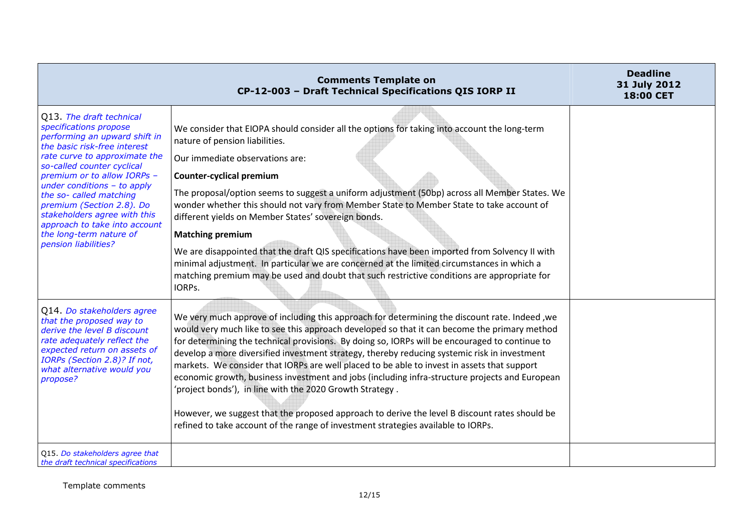|                                                                                                                                                                                                                                                                                                                                                                                                                                | <b>Comments Template on</b><br>CP-12-003 - Draft Technical Specifications QIS IORP II                                                                                                                                                                                                                                                                                                                                                                                                                                                                                                                                                                                                                                                                                                                                                              | <b>Deadline</b><br>31 July 2012<br><b>18:00 CET</b> |
|--------------------------------------------------------------------------------------------------------------------------------------------------------------------------------------------------------------------------------------------------------------------------------------------------------------------------------------------------------------------------------------------------------------------------------|----------------------------------------------------------------------------------------------------------------------------------------------------------------------------------------------------------------------------------------------------------------------------------------------------------------------------------------------------------------------------------------------------------------------------------------------------------------------------------------------------------------------------------------------------------------------------------------------------------------------------------------------------------------------------------------------------------------------------------------------------------------------------------------------------------------------------------------------------|-----------------------------------------------------|
| Q13. The draft technical<br>specifications propose<br>performing an upward shift in<br>the basic risk-free interest<br>rate curve to approximate the<br>so-called counter cyclical<br>premium or to allow IORPs -<br>under conditions $-$ to apply<br>the so- called matching<br>premium (Section 2.8). Do<br>stakeholders agree with this<br>approach to take into account<br>the long-term nature of<br>pension liabilities? | We consider that EIOPA should consider all the options for taking into account the long-term<br>nature of pension liabilities.<br>Our immediate observations are:                                                                                                                                                                                                                                                                                                                                                                                                                                                                                                                                                                                                                                                                                  |                                                     |
|                                                                                                                                                                                                                                                                                                                                                                                                                                | <b>Counter-cyclical premium</b><br>The proposal/option seems to suggest a uniform adjustment (50bp) across all Member States. We<br>wonder whether this should not vary from Member State to Member State to take account of<br>different yields on Member States' sovereign bonds.<br><b>Matching premium</b>                                                                                                                                                                                                                                                                                                                                                                                                                                                                                                                                     |                                                     |
|                                                                                                                                                                                                                                                                                                                                                                                                                                | We are disappointed that the draft QIS specifications have been imported from Solvency II with<br>minimal adjustment. In particular we are concerned at the limited circumstances in which a<br>matching premium may be used and doubt that such restrictive conditions are appropriate for<br>IORPs.                                                                                                                                                                                                                                                                                                                                                                                                                                                                                                                                              |                                                     |
| Q14. Do stakeholders agree<br>that the proposed way to<br>derive the level B discount<br>rate adequately reflect the<br>expected return on assets of<br>IORPs (Section 2.8)? If not,<br>what alternative would you<br>propose?                                                                                                                                                                                                 | We very much approve of including this approach for determining the discount rate. Indeed, we<br>would very much like to see this approach developed so that it can become the primary method<br>for determining the technical provisions. By doing so, IORPs will be encouraged to continue to<br>develop a more diversified investment strategy, thereby reducing systemic risk in investment<br>markets. We consider that IORPs are well placed to be able to invest in assets that support<br>economic growth, business investment and jobs (including infra-structure projects and European<br>'project bonds'), in line with the 2020 Growth Strategy.<br>However, we suggest that the proposed approach to derive the level B discount rates should be<br>refined to take account of the range of investment strategies available to IORPs. |                                                     |
| Q15. Do stakeholders agree that<br>the draft technical specifications                                                                                                                                                                                                                                                                                                                                                          |                                                                                                                                                                                                                                                                                                                                                                                                                                                                                                                                                                                                                                                                                                                                                                                                                                                    |                                                     |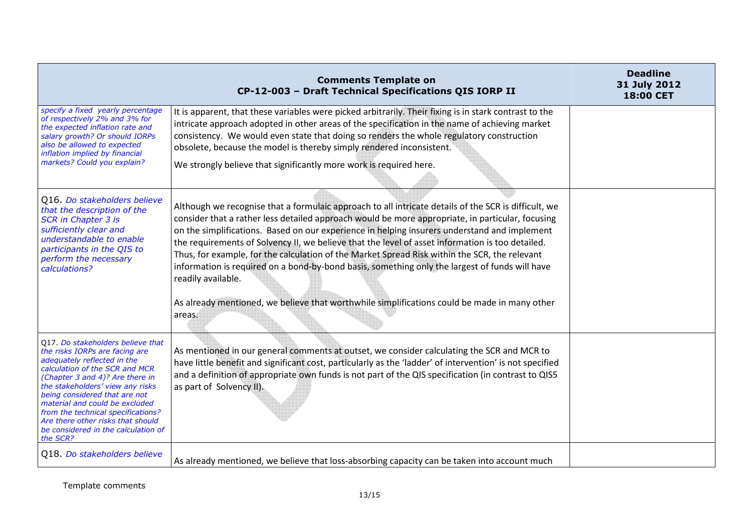|                                                                                                                                                                                                                                                                                                                                                                                                              | <b>Comments Template on</b><br>CP-12-003 - Draft Technical Specifications QIS IORP II                                                                                                                                                                                                                                                                                                                                                                                                                                                                                                                                                                                                                                                           | <b>Deadline</b><br>31 July 2012<br><b>18:00 CET</b> |
|--------------------------------------------------------------------------------------------------------------------------------------------------------------------------------------------------------------------------------------------------------------------------------------------------------------------------------------------------------------------------------------------------------------|-------------------------------------------------------------------------------------------------------------------------------------------------------------------------------------------------------------------------------------------------------------------------------------------------------------------------------------------------------------------------------------------------------------------------------------------------------------------------------------------------------------------------------------------------------------------------------------------------------------------------------------------------------------------------------------------------------------------------------------------------|-----------------------------------------------------|
| specify a fixed yearly percentage<br>of respectively 2% and 3% for<br>the expected inflation rate and<br>salary growth? Or should IORPs<br>also be allowed to expected<br>inflation implied by financial<br>markets? Could you explain?                                                                                                                                                                      | It is apparent, that these variables were picked arbitrarily. Their fixing is in stark contrast to the<br>intricate approach adopted in other areas of the specification in the name of achieving market<br>consistency. We would even state that doing so renders the whole regulatory construction<br>obsolete, because the model is thereby simply rendered inconsistent.<br>We strongly believe that significantly more work is required here.                                                                                                                                                                                                                                                                                              |                                                     |
| Q16. Do stakeholders believe<br>that the description of the<br><b>SCR in Chapter 3 is</b><br>sufficiently clear and<br>understandable to enable<br>participants in the QIS to<br>perform the necessary<br>calculations?                                                                                                                                                                                      | Although we recognise that a formulaic approach to all intricate details of the SCR is difficult, we<br>consider that a rather less detailed approach would be more appropriate, in particular, focusing<br>on the simplifications. Based on our experience in helping insurers understand and implement<br>the requirements of Solvency II, we believe that the level of asset information is too detailed.<br>Thus, for example, for the calculation of the Market Spread Risk within the SCR, the relevant<br>information is required on a bond-by-bond basis, something only the largest of funds will have<br>readily available.<br>As already mentioned, we believe that worthwhile simplifications could be made in many other<br>areas. |                                                     |
| Q17. Do stakeholders believe that<br>the risks IORPs are facing are<br>adequately reflected in the<br>calculation of the SCR and MCR<br>(Chapter 3 and 4)? Are there in<br>the stakeholders' view any risks<br>being considered that are not<br>material and could be excluded<br>from the technical specifications?<br>Are there other risks that should<br>be considered in the calculation of<br>the SCR? | As mentioned in our general comments at outset, we consider calculating the SCR and MCR to<br>have little benefit and significant cost, particularly as the 'ladder' of intervention' is not specified<br>and a definition of appropriate own funds is not part of the QIS specification (in contrast to QIS5<br>as part of Solvency II).                                                                                                                                                                                                                                                                                                                                                                                                       |                                                     |
| Q18. Do stakeholders believe                                                                                                                                                                                                                                                                                                                                                                                 | As already mentioned, we believe that loss-absorbing capacity can be taken into account much                                                                                                                                                                                                                                                                                                                                                                                                                                                                                                                                                                                                                                                    |                                                     |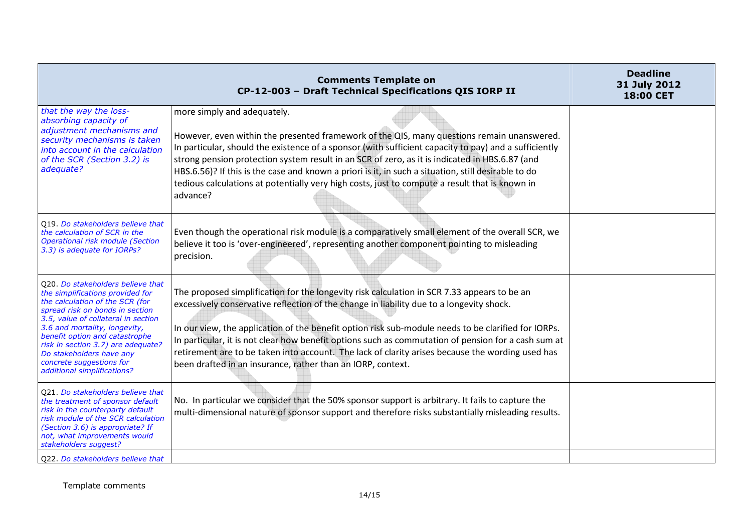|                                                                                                                                                                                                                                                                                                                                                                                    | <b>Comments Template on</b><br>CP-12-003 - Draft Technical Specifications QIS IORP II                                                                                                                                                                                                                                                                                                                                                                                                                                                                                    | <b>Deadline</b><br>31 July 2012<br>18:00 CET |
|------------------------------------------------------------------------------------------------------------------------------------------------------------------------------------------------------------------------------------------------------------------------------------------------------------------------------------------------------------------------------------|--------------------------------------------------------------------------------------------------------------------------------------------------------------------------------------------------------------------------------------------------------------------------------------------------------------------------------------------------------------------------------------------------------------------------------------------------------------------------------------------------------------------------------------------------------------------------|----------------------------------------------|
| that the way the loss-<br>absorbing capacity of<br>adjustment mechanisms and<br>security mechanisms is taken<br>into account in the calculation<br>of the SCR (Section 3.2) is<br>adequate?                                                                                                                                                                                        | more simply and adequately.<br>However, even within the presented framework of the QIS, many questions remain unanswered.<br>In particular, should the existence of a sponsor (with sufficient capacity to pay) and a sufficiently<br>strong pension protection system result in an SCR of zero, as it is indicated in HBS.6.87 (and<br>HBS.6.56)? If this is the case and known a priori is it, in such a situation, still desirable to do<br>tedious calculations at potentially very high costs, just to compute a result that is known in<br>advance?                |                                              |
| Q19. Do stakeholders believe that<br>the calculation of SCR in the<br>Operational risk module (Section<br>3.3) is adequate for IORPs?                                                                                                                                                                                                                                              | Even though the operational risk module is a comparatively small element of the overall SCR, we<br>believe it too is 'over-engineered', representing another component pointing to misleading<br>precision.                                                                                                                                                                                                                                                                                                                                                              |                                              |
| Q20. Do stakeholders believe that<br>the simplifications provided for<br>the calculation of the SCR (for<br>spread risk on bonds in section<br>3.5, value of collateral in section<br>3.6 and mortality, longevity,<br>benefit option and catastrophe<br>risk in section 3.7) are adequate?<br>Do stakeholders have any<br>concrete suggestions for<br>additional simplifications? | The proposed simplification for the longevity risk calculation in SCR 7.33 appears to be an<br>excessively conservative reflection of the change in liability due to a longevity shock.<br>In our view, the application of the benefit option risk sub-module needs to be clarified for IORPs.<br>In particular, it is not clear how benefit options such as commutation of pension for a cash sum at<br>retirement are to be taken into account. The lack of clarity arises because the wording used has<br>been drafted in an insurance, rather than an IORP, context. |                                              |
| Q21. Do stakeholders believe that<br>the treatment of sponsor default<br>risk in the counterparty default<br>risk module of the SCR calculation<br>(Section 3.6) is appropriate? If<br>not, what improvements would<br>stakeholders suggest?<br>Q22. Do stakeholders believe that                                                                                                  | No. In particular we consider that the 50% sponsor support is arbitrary. It fails to capture the<br>multi-dimensional nature of sponsor support and therefore risks substantially misleading results.                                                                                                                                                                                                                                                                                                                                                                    |                                              |